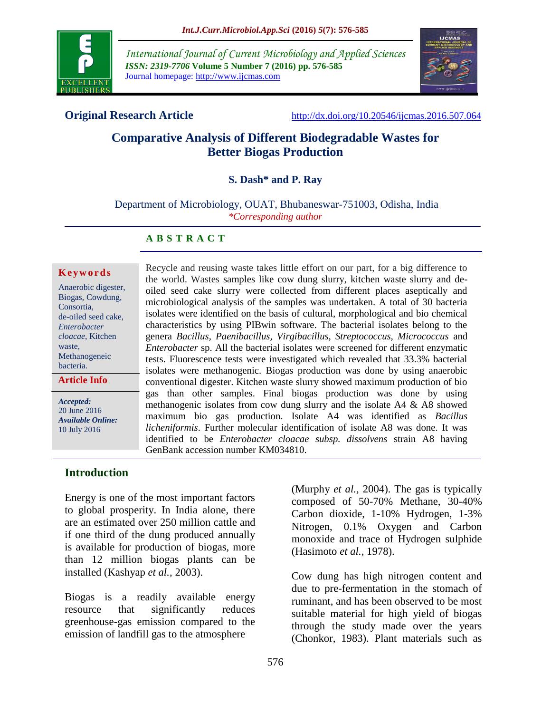

*International Journal of Current Microbiology and Applied Sciences ISSN: 2319-7706* **Volume 5 Number 7 (2016) pp. 576-585** Journal homepage: http://www.ijcmas.com



**Original Research Article** <http://dx.doi.org/10.20546/ijcmas.2016.507.064>

# **Comparative Analysis of Different Biodegradable Wastes for Better Biogas Production**

## **S. Dash\* and P. Ray**

Department of Microbiology, OUAT, Bhubaneswar-751003, Odisha, India *\*Corresponding author*

## **A B S T R A C T**

#### **K e y w o r d s**

| Anaerobic digester, |
|---------------------|
| Biogas, Cowdung,    |
| Consortia.          |
| de-oiled seed cake, |
| Enterobacter        |
| cloacae, Kitchen    |
| waste.              |
| Methanogeneic       |
| bacteria.           |
|                     |

**Article Info**

*Accepted:*  20 June 2016 *Available Online:* 10 July 2016

Recycle and reusing waste takes little effort on our part, for a big difference to the world. Wastes samples like cow dung slurry, kitchen waste slurry and deoiled seed cake slurry were collected from different places aseptically and microbiological analysis of the samples was undertaken. A total of 30 bacteria isolates were identified on the basis of cultural, morphological and bio chemical characteristics by using PIBwin software. The bacterial isolates belong to the genera *Bacillus, Paenibacillus, Virgibacillus, Streptococcus, Micrococcus* and *Enterobacter* sp. All the bacterial isolates were screened for different enzymatic tests. Fluorescence tests were investigated which revealed that 33.3% bacterial isolates were methanogenic. Biogas production was done by using anaerobic conventional digester. Kitchen waste slurry showed maximum production of bio gas than other samples. Final biogas production was done by using methanogenic isolates from cow dung slurry and the isolate A4 & A8 showed maximum bio gas production. Isolate A4 was identified as *Bacillus licheniformis*. Further molecular identification of isolate A8 was done. It was identified to be *Enterobacter cloacae subsp. dissolvens* strain A8 having GenBank accession number KM034810.

## **Introduction**

Energy is one of the most important factors to global prosperity. In India alone, there are an estimated over 250 million cattle and if one third of the dung produced annually is available for production of biogas, more than 12 million biogas plants can be installed (Kashyap *et al.,* 2003).

Biogas is a readily available energy resource that significantly reduces greenhouse-gas emission compared to the emission of landfill gas to the atmosphere

(Murphy *et al.,* 2004). The gas is typically composed of 50-70% Methane, 30-40% Carbon dioxide, 1-10% Hydrogen, 1-3% Nitrogen, 0.1% Oxygen and Carbon monoxide and trace of Hydrogen sulphide (Hasimoto *et al.,* 1978).

Cow dung has high nitrogen content and due to pre-fermentation in the stomach of ruminant, and has been observed to be most suitable material for high yield of biogas through the study made over the years (Chonkor, 1983). Plant materials such as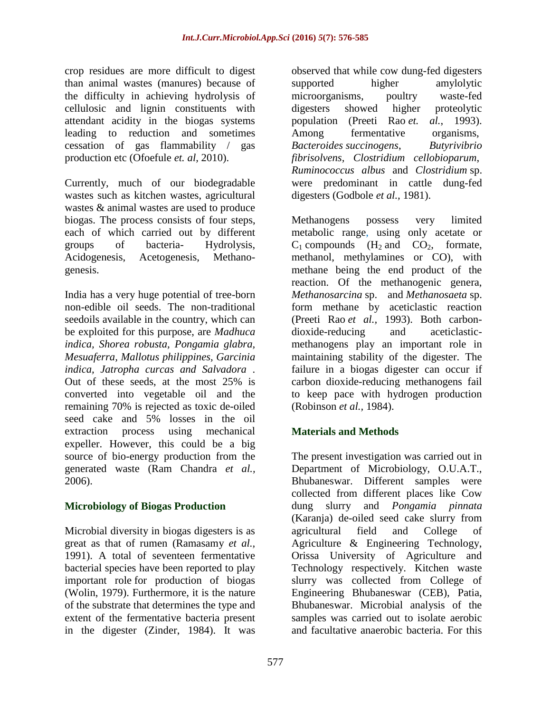crop residues are more difficult to digest than animal wastes (manures) because of the difficulty in achieving hydrolysis of cellulosic and lignin constituents with attendant acidity in the biogas systems leading to reduction and sometimes cessation of gas flammability / gas production etc (Ofoefule *et. al,* 2010).

Currently, much of our biodegradable wastes such as kitchen wastes, agricultural wastes & animal wastes are used to produce biogas. The process consists of four steps, each of which carried out by different groups of bacteria- Hydrolysis, Acidogenesis, Acetogenesis, Methanogenesis.

India has a very huge potential of tree-born non-edible oil seeds. The non-traditional seedoils available in the country, which can be exploited for this purpose, are *Madhuca indica, Shorea robusta, Pongamia glabra, Mesuaferra, Mallotus philippines, Garcinia indica, Jatropha curcas and Salvadora* . Out of these seeds, at the most 25% is converted into vegetable oil and the remaining 70% is rejected as toxic de-oiled seed cake and 5% losses in the oil extraction process using mechanical expeller. However, this could be a big source of bio-energy production from the generated waste (Ram Chandra *et al.,* 2006).

# **Microbiology of Biogas Production**

Microbial diversity in biogas digesters is as great as that of rumen (Ramasamy *et al.,* 1991). A total of seventeen fermentative bacterial species have been reported to play important role for production of biogas (Wolin, 1979). Furthermore, it is the nature of the substrate that determines the type and extent of the fermentative bacteria present in the digester (Zinder, 1984). It was

observed that while cow dung-fed digesters supported higher amylolytic microorganisms, poultry waste-fed digesters showed higher proteolytic population (Preeti Rao *et. al.*, 1993). Among fermentative organisms, *Bacteroides succinogens*, *Butyrivibrio fibrisolvens, Clostridium cellobioparum*, *Ruminococcus albus* and *Clostridium* sp. were predominant in cattle dung-fed digesters (Godbole *et al.,* 1981).

Methanogens possess very limited metabolic range, using only acetate or  $C_1$  compounds  $(H_2 \text{ and } CO_2$ , formate, methanol, methylamines or CO), with methane being the end product of the reaction. Of the methanogenic genera, *Methanosarcina* sp. and *Methanosaeta* sp. form methane by aceticlastic reaction (Preeti Rao *et al.,* 1993). Both carbondioxide-reducing and aceticlasticmethanogens play an important role in maintaining stability of the digester. The failure in a biogas digester can occur if carbon dioxide-reducing methanogens fail to keep pace with hydrogen production (Robinson *et al.,* 1984).

# **Materials and Methods**

The present investigation was carried out in Department of Microbiology, O.U.A.T., Bhubaneswar. Different samples were collected from different places like Cow dung slurry and *Pongamia pinnata* (Karanja) de-oiled seed cake slurry from agricultural field and College of Agriculture & Engineering Technology, Orissa University of Agriculture and Technology respectively. Kitchen waste slurry was collected from College of Engineering Bhubaneswar (CEB), Patia, Bhubaneswar. Microbial analysis of the samples was carried out to isolate aerobic and facultative anaerobic bacteria. For this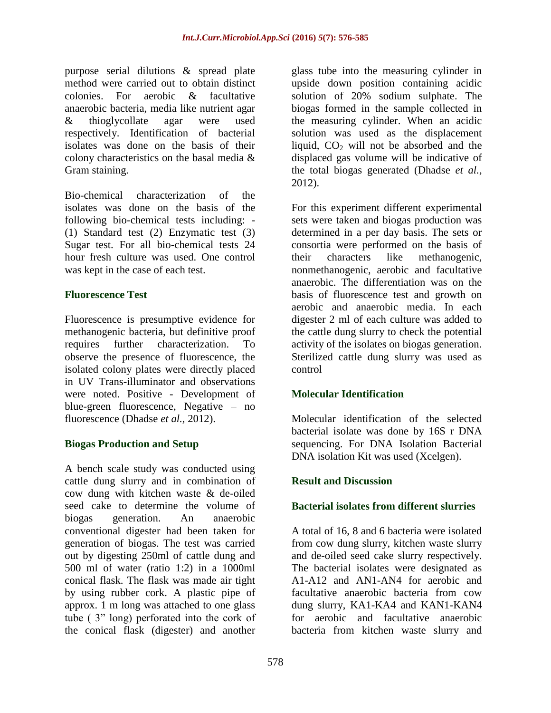purpose serial dilutions & spread plate method were carried out to obtain distinct colonies. For aerobic & facultative anaerobic bacteria, media like nutrient agar & thioglycollate agar were used respectively. Identification of bacterial isolates was done on the basis of their colony characteristics on the basal media & Gram staining.

Bio-chemical characterization of the isolates was done on the basis of the following bio-chemical tests including: - (1) Standard test (2) Enzymatic test (3) Sugar test. For all bio-chemical tests 24 hour fresh culture was used. One control was kept in the case of each test.

## **Fluorescence Test**

Fluorescence is presumptive evidence for methanogenic bacteria, but definitive proof requires further characterization. To observe the presence of fluorescence, the isolated colony plates were directly placed in UV Trans-illuminator and observations were noted. Positive - Development of blue-green fluorescence, Negative – no fluorescence (Dhadse *et al.,* 2012).

## **Biogas Production and Setup**

A bench scale study was conducted using cattle dung slurry and in combination of cow dung with kitchen waste & de-oiled seed cake to determine the volume of biogas generation. An anaerobic conventional digester had been taken for generation of biogas. The test was carried out by digesting 250ml of cattle dung and 500 ml of water (ratio 1:2) in a 1000ml conical flask. The flask was made air tight by using rubber cork. A plastic pipe of approx. 1 m long was attached to one glass tube ( 3" long) perforated into the cork of the conical flask (digester) and another

glass tube into the measuring cylinder in upside down position containing acidic solution of 20% sodium sulphate. The biogas formed in the sample collected in the measuring cylinder. When an acidic solution was used as the displacement liquid,  $CO<sub>2</sub>$  will not be absorbed and the displaced gas volume will be indicative of the total biogas generated (Dhadse *et al.,* 2012).

For this experiment different experimental sets were taken and biogas production was determined in a per day basis. The sets or consortia were performed on the basis of their characters like methanogenic, nonmethanogenic, aerobic and facultative anaerobic. The differentiation was on the basis of fluorescence test and growth on aerobic and anaerobic media. In each digester 2 ml of each culture was added to the cattle dung slurry to check the potential activity of the isolates on biogas generation. Sterilized cattle dung slurry was used as control

## **Molecular Identification**

Molecular identification of the selected bacterial isolate was done by 16S r DNA sequencing. For DNA Isolation Bacterial DNA isolation Kit was used (Xcelgen).

## **Result and Discussion**

## **Bacterial isolates from different slurries**

A total of 16, 8 and 6 bacteria were isolated from cow dung slurry, kitchen waste slurry and de-oiled seed cake slurry respectively. The bacterial isolates were designated as A1-A12 and AN1-AN4 for aerobic and facultative anaerobic bacteria from cow dung slurry, KA1-KA4 and KAN1-KAN4 for aerobic and facultative anaerobic bacteria from kitchen waste slurry and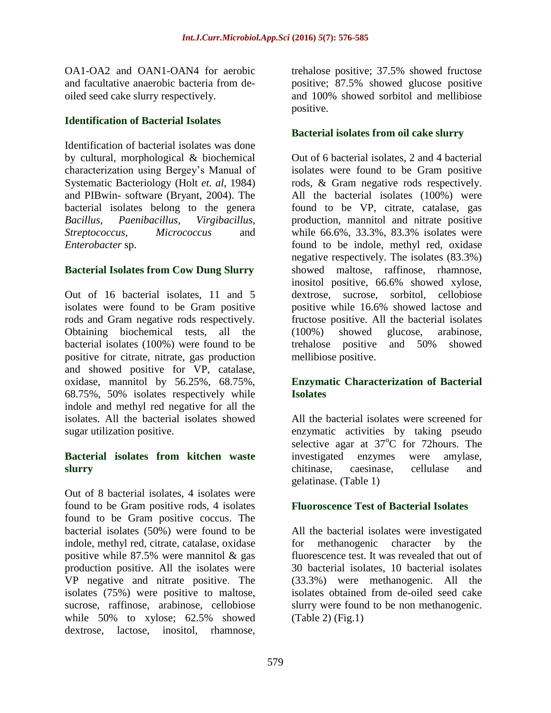OA1-OA2 and OAN1-OAN4 for aerobic and facultative anaerobic bacteria from deoiled seed cake slurry respectively.

## **Identification of Bacterial Isolates**

Identification of bacterial isolates was done by cultural, morphological & biochemical characterization using Bergey's Manual of Systematic Bacteriology (Holt *et. al*, 1984) and PIBwin- software (Bryant, 2004). The bacterial isolates belong to the genera *Bacillus, Paenibacillus, Virgibacillus, Streptococcus, Micrococcus* and *Enterobacter* sp.

## **Bacterial Isolates from Cow Dung Slurry**

Out of 16 bacterial isolates, 11 and 5 isolates were found to be Gram positive rods and Gram negative rods respectively. Obtaining biochemical tests, all the bacterial isolates (100%) were found to be positive for citrate, nitrate, gas production and showed positive for VP, catalase, oxidase, mannitol by 56.25%, 68.75%, 68.75%, 50% isolates respectively while indole and methyl red negative for all the isolates. All the bacterial isolates showed sugar utilization positive.

## **Bacterial isolates from kitchen waste slurry**

Out of 8 bacterial isolates, 4 isolates were found to be Gram positive rods, 4 isolates found to be Gram positive coccus. The bacterial isolates  $(50\%)$  were found to be indole, methyl red, citrate, catalase, oxidase positive while 87.5% were mannitol & gas production positive. All the isolates were VP negative and nitrate positive. The isolates (75%) were positive to maltose, sucrose, raffinose, arabinose, cellobiose while 50% to xylose; 62.5% showed dextrose, lactose, inositol, rhamnose,

trehalose positive; 37.5% showed fructose positive; 87.5% showed glucose positive and 100% showed sorbitol and mellibiose positive.

## **Bacterial isolates from oil cake slurry**

Out of 6 bacterial isolates, 2 and 4 bacterial isolates were found to be Gram positive rods, & Gram negative rods respectively. All the bacterial isolates (100%) were found to be VP, citrate, catalase, gas production, mannitol and nitrate positive while 66.6%, 33.3%, 83.3% isolates were found to be indole, methyl red, oxidase negative respectively. The isolates (83.3%) showed maltose, raffinose, rhamnose, inositol positive, 66.6% showed xylose, dextrose, sucrose, sorbitol, cellobiose positive while 16.6% showed lactose and fructose positive. All the bacterial isolates (100%) showed glucose, arabinose, trehalose positive and 50% showed mellibiose positive.

## **Enzymatic Characterization of Bacterial Isolates**

All the bacterial isolates were screened for enzymatic activities by taking pseudo selective agar at  $37^{\circ}$ C for 72 hours. The investigated enzymes were amylase, chitinase, caesinase, cellulase and gelatinase. (Table 1)

## **Fluoroscence Test of Bacterial Isolates**

All the bacterial isolates were investigated for methanogenic character by the fluorescence test. It was revealed that out of 30 bacterial isolates, 10 bacterial isolates (33.3%) were methanogenic. All the isolates obtained from de-oiled seed cake slurry were found to be non methanogenic. (Table 2) (Fig.1)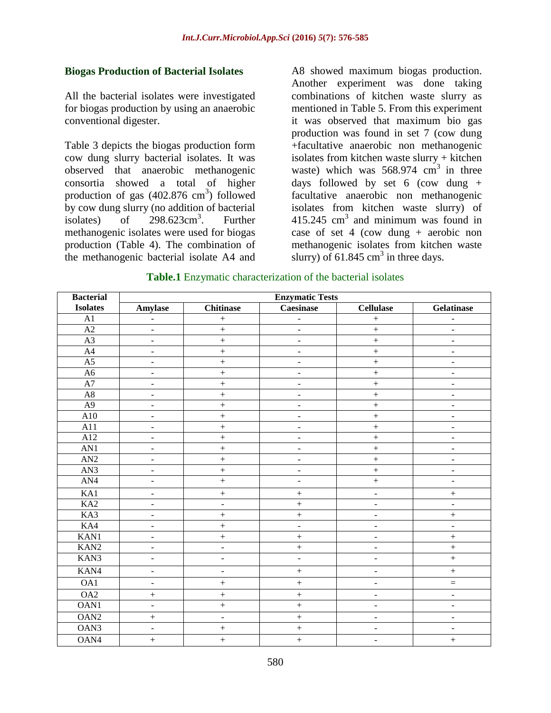#### **Biogas Production of Bacterial Isolates**

All the bacterial isolates were investigated for biogas production by using an anaerobic conventional digester.

Table 3 depicts the biogas production form cow dung slurry bacterial isolates. It was observed that anaerobic methanogenic consortia showed a total of higher production of gas  $(402.876 \text{ cm}^3)$  followed by cow dung slurry (no addition of bacterial isolates) of  $298.623 \text{cm}^3$ . . Further methanogenic isolates were used for biogas production (Table 4). The combination of the methanogenic bacterial isolate A4 and A8 showed maximum biogas production. Another experiment was done taking combinations of kitchen waste slurry as mentioned in Table 5. From this experiment it was observed that maximum bio gas production was found in set 7 (cow dung +facultative anaerobic non methanogenic isolates from kitchen waste slurry + kitchen waste) which was  $568.974 \text{ cm}^3$  in three days followed by set 6 (cow dung  $+$ facultative anaerobic non methanogenic isolates from kitchen waste slurry) of  $415.245$  cm<sup>3</sup> and minimum was found in case of set 4 (cow dung  $+$  aerobic non methanogenic isolates from kitchen waste slurry) of 61.845 cm<sup>3</sup> in three days.

| <b>Bacterial</b> | <b>Enzymatic Tests</b>       |                          |                              |                              |                              |  |  |
|------------------|------------------------------|--------------------------|------------------------------|------------------------------|------------------------------|--|--|
| <b>Isolates</b>  | <b>Amylase</b>               | <b>Chitinase</b>         | <b>Caesinase</b>             | <b>Cellulase</b>             | Gelatinase                   |  |  |
| A1               | $\blacksquare$               | $\boldsymbol{+}$         | $\blacksquare$               | $\ddot{}$                    | ÷,                           |  |  |
| A2               | $\overline{\phantom{a}}$     | $\boldsymbol{+}$         | $\overline{\phantom{a}}$     | $\qquad \qquad +$            | $\frac{1}{2}$                |  |  |
| $\overline{A3}$  | $\Box$                       | $\qquad \qquad +$        | $\frac{1}{2}$                | $\ddot{}$                    | $\blacksquare$               |  |  |
| A4               | $\overline{\phantom{a}}$     | $\qquad \qquad +$        | $\blacksquare$               | $\qquad \qquad +$            | $\overline{\phantom{a}}$     |  |  |
| $\overline{A5}$  | $\blacksquare$               | $\ddot{}$                | $\qquad \qquad \blacksquare$ | $\qquad \qquad +$            | ÷,                           |  |  |
| A <sub>6</sub>   | $\overline{\phantom{a}}$     | $\qquad \qquad +$        | $\overline{\phantom{a}}$     | $\qquad \qquad +$            | $\blacksquare$               |  |  |
| A7               | $\blacksquare$               | $\ddot{}$                | $\overline{\phantom{a}}$     | $\qquad \qquad +$            | $\blacksquare$               |  |  |
| $\rm A8$         | $\blacksquare$               | $\qquad \qquad +$        | $\overline{\phantom{a}}$     | $\qquad \qquad +$            | $\frac{1}{2}$                |  |  |
| A <sub>9</sub>   | $\overline{\phantom{a}}$     | $\qquad \qquad +$        | $\overline{\phantom{a}}$     | $\qquad \qquad +$            | -                            |  |  |
| A10              | $\overline{\phantom{a}}$     | $\ddot{}$                | $\overline{\phantom{a}}$     | $\ddot{}$                    | $\overline{\phantom{a}}$     |  |  |
| A11              | $\overline{\phantom{a}}$     |                          | $\overline{\phantom{a}}$     | $\ddot{}$                    | $\qquad \qquad \blacksquare$ |  |  |
| A12              | $\blacksquare$               | $\qquad \qquad +$        | $\overline{\phantom{m}}$     | $\ddot{}$                    | ÷                            |  |  |
| AN1              | $\overline{\phantom{a}}$     | $\ddot{}$                | $\overline{\phantom{a}}$     | $\ddot{}$                    | $\qquad \qquad \blacksquare$ |  |  |
| AN2              | $\overline{\phantom{a}}$     | $\ddot{}$                | $\overline{\phantom{a}}$     | $\ddot{}$                    | $\blacksquare$               |  |  |
| AN3              | $\blacksquare$               | $\boldsymbol{+}$         | $\overline{\phantom{a}}$     | $\ddot{}$                    | $\overline{\phantom{a}}$     |  |  |
| AN4              | $\overline{\phantom{a}}$     | $\qquad \qquad +$        | $\overline{\phantom{a}}$     | $\ddot{}$                    | $\blacksquare$               |  |  |
| KAI              | $\blacksquare$               | $\boldsymbol{+}$         | $\! + \!$                    | $\overline{a}$               |                              |  |  |
| K <sub>A2</sub>  | $\overline{\phantom{a}}$     | $\blacksquare$           | $^{+}$                       | $\frac{1}{2}$                | $\qquad \qquad \blacksquare$ |  |  |
| KA3              | $\overline{\phantom{a}}$     | $+$                      | $^{+}$                       | $\overline{\phantom{a}}$     | $+$                          |  |  |
| KA4              | $\overline{\phantom{a}}$     | $\ddot{}$                | $\overline{\phantom{a}}$     | $\blacksquare$               | $\blacksquare$               |  |  |
| KAN1             | $\blacksquare$               | $\ddot{}$                | $\boldsymbol{+}$             | $\frac{1}{2}$                | $\boldsymbol{+}$             |  |  |
| KAN <sub>2</sub> | $\bar{\phantom{a}}$          | $\overline{a}$           | $\ddot{}$                    | $\overline{a}$               | $\ddot{}$                    |  |  |
| KAN3             | $\Box$                       | $\overline{\phantom{a}}$ | $\blacksquare$               | $\frac{1}{2}$                | $\ddot{}$                    |  |  |
| KAN4             | $\qquad \qquad \blacksquare$ | $\overline{\phantom{a}}$ | $\! + \!$                    | $\qquad \qquad \blacksquare$ | $\! +$                       |  |  |
| OA1              | $\overline{\phantom{a}}$     | $\boldsymbol{+}$         | $+$                          | $\overline{a}$               | $\equiv$                     |  |  |
| OA2              | $\qquad \qquad +$            | $\boldsymbol{+}$         | $\boldsymbol{+}$             | $\blacksquare$               | $\blacksquare$               |  |  |
| OAN1             | $\blacksquare$               | $\ddot{}$                | $^{+}$                       | $\qquad \qquad \blacksquare$ | $\qquad \qquad \blacksquare$ |  |  |
| OAN <sub>2</sub> | $\boldsymbol{+}$             | $\blacksquare$           | $\qquad \qquad +$            | $\overline{\phantom{0}}$     | $\qquad \qquad \blacksquare$ |  |  |
| OAN3             | $\Box$                       | $\qquad \qquad +$        | $^{+}$                       | $\qquad \qquad -$            | $\blacksquare$               |  |  |
| OAN4             | $\qquad \qquad +$            | $\ddot{}$                | $\qquad \qquad +$            | $\overline{a}$               | $\ddot{}$                    |  |  |

#### **Table.1** Enzymatic characterization of the bacterial isolates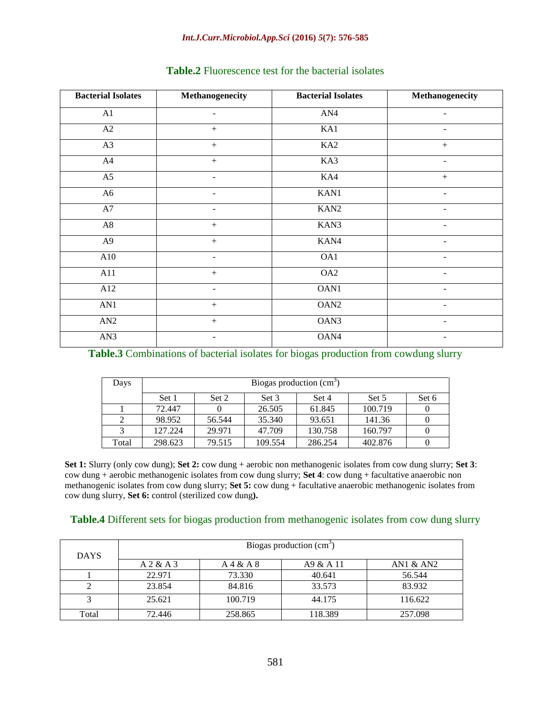#### *Int.J.Curr.Microbiol.App.Sci* **(2016)** *5***(7): 576-585**

| <b>Bacterial Isolates</b> | Methanogenecity          | <b>Bacterial Isolates</b> | Methanogenecity          |
|---------------------------|--------------------------|---------------------------|--------------------------|
| A1                        |                          | AN4                       |                          |
| A2                        | $+$                      | KA1                       | $\overline{\phantom{a}}$ |
| A3                        | $\boldsymbol{+}$         | KA <sub>2</sub>           | $^{+}$                   |
| A4                        | $+$                      | KA3                       |                          |
| A5                        |                          | KA4                       | $+$                      |
| A <sub>6</sub>            | ÷,                       | KAN1                      | $\overline{\phantom{0}}$ |
| A7                        |                          | KAN <sub>2</sub>          |                          |
| A8                        | $+$                      | KAN3                      |                          |
| $\overline{A9}$           | $+$                      | KAN4                      | $\overline{\phantom{a}}$ |
| A10                       |                          | OA1                       |                          |
| A11                       |                          | OA <sub>2</sub>           |                          |
| A12                       | $\overline{\phantom{a}}$ | OAN1                      | $\overline{\phantom{a}}$ |
| AN1                       | $+$                      | OAN <sub>2</sub>          |                          |
| AN2                       | $\boldsymbol{+}$         | OAN3                      |                          |
| AN3                       | $\overline{\phantom{0}}$ | OAN4                      | $\overline{\phantom{0}}$ |

#### **Table.2** Fluorescence test for the bacterial isolates

#### **Table.3** Combinations of bacterial isolates for biogas production from cowdung slurry

| Days  | Biogas production $(cm3)$ |        |         |         |         |       |  |  |
|-------|---------------------------|--------|---------|---------|---------|-------|--|--|
|       | Set 1                     | Set 2  | Set 3   | Set 4   | Set 5   | Set 6 |  |  |
|       | 72.447                    |        | 26.505  | 61.845  | 100.719 |       |  |  |
|       | 98.952                    | 56.544 | 35.340  | 93.651  | 141.36  |       |  |  |
|       | 127.224                   | 29.971 | 47.709  | 130.758 | 160.797 |       |  |  |
| Total | 298.623                   | 79.515 | 109.554 | 286.254 | 402.876 |       |  |  |

**Set 1:** Slurry (only cow dung); **Set 2:** cow dung + aerobic non methanogenic isolates from cow dung slurry; **Set 3**: cow dung + aerobic methanogenic isolates from cow dung slurry; **Set 4**: cow dung + facultative anaerobic non methanogenic isolates from cow dung slurry; **Set 5:** cow dung + facultative anaerobic methanogenic isolates from cow dung slurry, **Set 6:** control (sterilized cow dung**).**

#### **Table.4** Different sets for biogas production from methanogenic isolates from cow dung slurry

| <b>DAYS</b> | Biogas production $(cm3)$ |           |          |             |  |  |
|-------------|---------------------------|-----------|----------|-------------|--|--|
|             | A 2 & A 3                 | A 4 & A 8 | A9 & A11 | AN1 $&$ AN2 |  |  |
|             | 22.971                    | 73.330    | 40.641   | 56.544      |  |  |
|             | 23.854                    | 84.816    | 33.573   | 83.932      |  |  |
|             | 25.621                    | 100.719   | 44.175   | 116.622     |  |  |
| Total       | 72.446                    | 258.865   | 118.389  | 257.098     |  |  |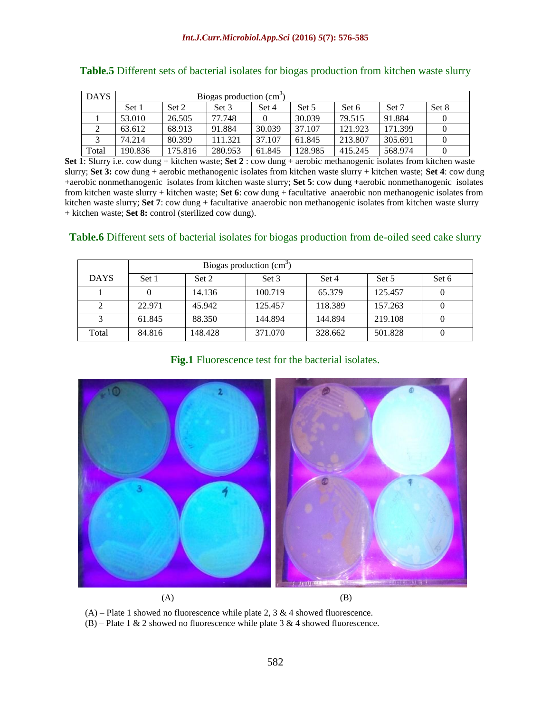| <b>DAYS</b> | Biogas production $(cm3)$ |         |         |        |         |         |         |       |
|-------------|---------------------------|---------|---------|--------|---------|---------|---------|-------|
|             | Set 1                     | Set 2   | Set 3   | Set 4  | Set 5   | Set 6   | Set 7   | Set 8 |
|             | 53.010                    | 26.505  | 77.748  |        | 30.039  | 79.515  | 91.884  |       |
|             | 63.612                    | 68.913  | 91.884  | 30.039 | 37.107  | 121.923 | 171.399 |       |
|             | 74.214                    | 80.399  | 111.321 | 37.107 | 61.845  | 213.807 | 305.691 |       |
| Total       | 190.836                   | 175.816 | 280.953 | 61.845 | 128.985 | 415.245 | 568.974 |       |

**Set 1**: Slurry i.e. cow dung + kitchen waste; **Set 2** : cow dung + aerobic methanogenic isolates from kitchen waste slurry; **Set 3:** cow dung + aerobic methanogenic isolates from kitchen waste slurry + kitchen waste; **Set 4**: cow dung +aerobic nonmethanogenic isolates from kitchen waste slurry; **Set 5**: cow dung +aerobic nonmethanogenic isolates from kitchen waste slurry + kitchen waste; **Set 6**: cow dung + facultative anaerobic non methanogenic isolates from kitchen waste slurry; **Set 7**: cow dung + facultative anaerobic non methanogenic isolates from kitchen waste slurry + kitchen waste; **Set 8:** control (sterilized cow dung).

#### **Table.6** Different sets of bacterial isolates for biogas production from de-oiled seed cake slurry

|             | Biogas production (cm <sup>3</sup> ) |         |         |         |         |       |  |  |  |
|-------------|--------------------------------------|---------|---------|---------|---------|-------|--|--|--|
| <b>DAYS</b> | Set 1                                | Set 2   | Set 3   | Set 4   | Set 5   | Set 6 |  |  |  |
|             |                                      | 14.136  | 100.719 | 65.379  | 125.457 |       |  |  |  |
| 2           | 22.971                               | 45.942  | 125.457 | 118.389 | 157.263 |       |  |  |  |
| 3           | 61.845                               | 88.350  | 144.894 | 144.894 | 219.108 |       |  |  |  |
| Total       | 84.816                               | 148.428 | 371.070 | 328.662 | 501.828 |       |  |  |  |

**Fig.1** Fluorescence test for the bacterial isolates.



 $(A)$  – Plate 1 showed no fluorescence while plate 2, 3 & 4 showed fluorescence. (B) – Plate 1 & 2 showed no fluorescence while plate 3 & 4 showed fluorescence.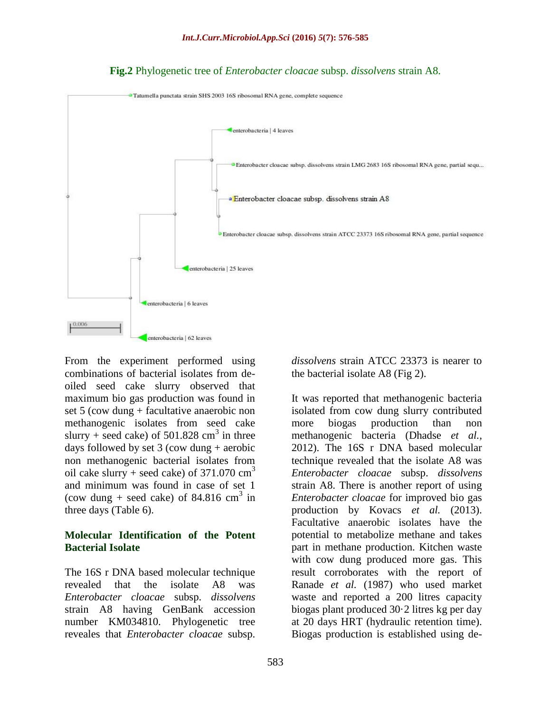

## **Fig.2** Phylogenetic tree of *Enterobacter cloacae* subsp. *dissolvens* strain A8.

From the experiment performed using combinations of bacterial isolates from deoiled seed cake slurry observed that maximum bio gas production was found in set 5 (cow dung + facultative anaerobic non methanogenic isolates from seed cake slurry + seed cake) of  $501.828$  cm<sup>3</sup> in three days followed by set 3 (cow dung + aerobic non methanogenic bacterial isolates from oil cake slurry + seed cake) of  $371.070$  cm<sup>3</sup> and minimum was found in case of set 1 (cow dung + seed cake) of 84.816  $\text{cm}^3$  in three days (Table 6).

#### **Molecular Identification of the Potent Bacterial Isolate**

The 16S r DNA based molecular technique revealed that the isolate A8 was *Enterobacter cloacae* subsp. *dissolvens*  strain A8 having GenBank accession number KM034810. Phylogenetic tree reveales that *Enterobacter cloacae* subsp.

*dissolvens* strain ATCC 23373 is nearer to the bacterial isolate A8 (Fig 2).

It was reported that methanogenic bacteria isolated from cow dung slurry contributed more biogas production than non methanogenic bacteria (Dhadse *et al.,* 2012). The 16S r DNA based molecular technique revealed that the isolate A8 was *Enterobacter cloacae* subsp. *dissolvens*  strain A8. There is another report of using *Enterobacter cloacae* for improved bio gas production by Kovacs *et al.* (2013). Facultative anaerobic isolates have the potential to metabolize methane and takes part in methane production. Kitchen waste with cow dung produced more gas. This result corroborates with the report of Ranade *et al.* (1987) who used market waste and reported a 200 litres capacity biogas plant produced 30·2 litres kg per day at 20 days HRT (hydraulic retention time). Biogas production is established using de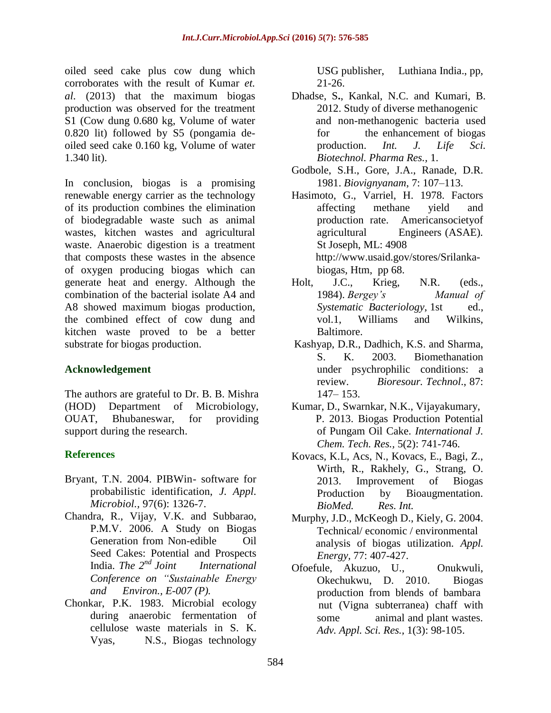oiled seed cake plus cow dung which corroborates with the result of Kumar *et. al.* (2013) that the maximum biogas production was observed for the treatment S1 (Cow dung 0.680 kg, Volume of water 0.820 lit) followed by S5 (pongamia deoiled seed cake 0.160 kg, Volume of water 1.340 lit).

In conclusion, biogas is a promising renewable energy carrier as the technology of its production combines the elimination of biodegradable waste such as animal wastes, kitchen wastes and agricultural waste. Anaerobic digestion is a treatment that composts these wastes in the absence of oxygen producing biogas which can generate heat and energy. Although the combination of the bacterial isolate A4 and A8 showed maximum biogas production, the combined effect of cow dung and kitchen waste proved to be a better substrate for biogas production.

## **Acknowledgement**

The authors are grateful to Dr. B. B. Mishra (HOD) Department of Microbiology, OUAT, Bhubaneswar, for providing support during the research.

## **References**

- Bryant, T.N. 2004. PIBWin- software for probabilistic identification, *J. Appl. Microbiol.,* 97(6): 1326-7.
- Chandra, R., Vijay, V.K. and Subbarao, P.M.V. 2006. A Study on Biogas Generation from Non-edibleOil Seed Cakes: Potential and Prospects India. *The 2nd Joint International Conference on "Sustainable Energy and Environ., E-007 (P).*
- Chonkar, P.K. 1983. Microbial ecology during anaerobic fermentation of cellulose waste materials in S. K. Vyas,N.S., Biogas technology

USG publisher,Luthiana India., pp, 21-26.

- Dhadse, S**.**, Kankal, N.C. and Kumari, B. 2012. Study of diverse methanogenic and non-methanogenic bacteria used for the enhancement of biogas production. *Int. J. Life Sci. Biotechnol. Pharma Res.,* 1.
- Godbole, S.H., Gore, J.A., Ranade, D.R. 1981. *Biovignyanam*, 7: 107–113.
- Hasimoto, G., Varriel, H. 1978. Factors affecting methane yield and production rate. Americansocietyof agricultural Engineers (ASAE). St Joseph, ML: 4908 http:/[/www.usaid.gov/stores/Srilanka](http://www.usaid.gov/stores/Srilanka-%20%20%20%20%20%20%20%20%20%20biogas)[biogas,](http://www.usaid.gov/stores/Srilanka-%20%20%20%20%20%20%20%20%20%20biogas) Htm, pp 68.
- Holt, J.C., Krieg, N.R. (eds., 1984). *Bergey's Manual of Systematic Bacteriology*, 1st ed., vol.1, Williams and Wilkins, Baltimore.
- Kashyap, D.R., Dadhich, K.S. and Sharma, S. K. 2003. Biomethanation under psychrophilic conditions: a review. *Bioresour. Technol*., 87: 147– 153.
- Kumar, D., Swarnkar, N.K., Vijayakumary, P. 2013. Biogas Production Potential of Pungam Oil Cake. *International J. Chem. Tech. Res.,* 5(2): 741-746.
- Kovacs, K.L, Acs, N., Kovacs, E., Bagi, Z., Wirth, R., Rakhely, G., Strang, O. 2013. Improvement of Biogas Production by Bioaugmentation. *BioMed. Res. Int.*
- Murphy, J.D., McKeogh D., Kiely, G. 2004. Technical/ economic / environmental analysis of biogas utilization. *Appl. Energy,* 77: 407-427.
- Ofoefule, Akuzuo, U., Onukwuli, Okechukwu, D. 2010. Biogas production from blends of bambara nut (Vigna subterranea) chaff with some animal and plant wastes. *Adv. Appl. Sci. Res.,* 1(3): 98-105.